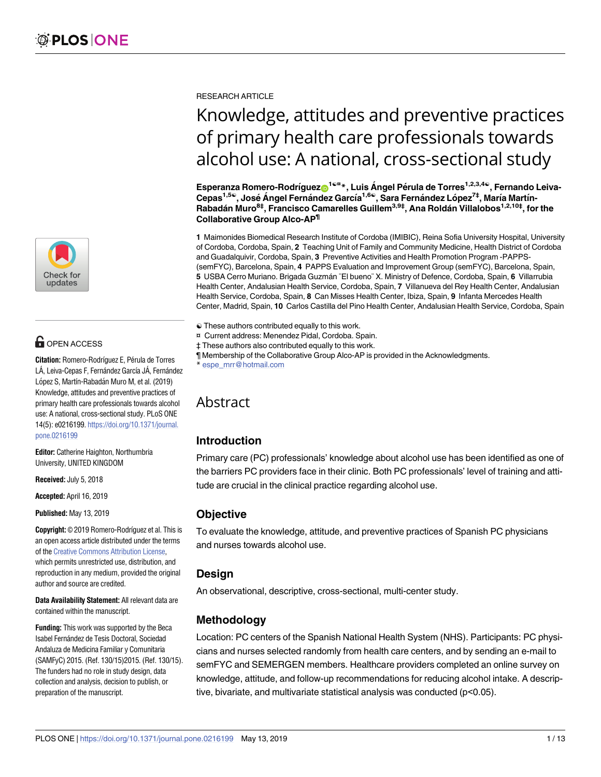

# **OPEN ACCESS**

**Citation:** Romero-Rodríguez E, Pérula de Torres LÁ, Leiva-Cepas F, Fernández García JÁ, Fernández López S, Martín-Rabadán Muro M, et al. (2019) Knowledge, attitudes and preventive practices of primary health care professionals towards alcohol use: A national, cross-sectional study. PLoS ONE 14(5): e0216199. [https://doi.org/10.1371/journal.](https://doi.org/10.1371/journal.pone.0216199) [pone.0216199](https://doi.org/10.1371/journal.pone.0216199)

**Editor:** Catherine Haighton, Northumbria University, UNITED KINGDOM

**Received:** July 5, 2018

**Accepted:** April 16, 2019

**Published:** May 13, 2019

**Copyright:** © 2019 Romero-Rodríguez et al. This is an open access article distributed under the terms of the Creative [Commons](http://creativecommons.org/licenses/by/4.0/) Attribution License, which permits unrestricted use, distribution, and reproduction in any medium, provided the original author and source are credited.

**Data Availability Statement:** All relevant data are contained within the manuscript.

**Funding:** This work was supported by the Beca Isabel Ferna´ndez de Tesis Doctoral, Sociedad Andaluza de Medicina Familiar y Comunitaria (SAMFyC) 2015. (Ref. 130/15)2015. (Ref. 130/15). The funders had no role in study design, data collection and analysis, decision to publish, or preparation of the manuscript.

RESEARCH ARTICLE

# Knowledge, attitudes and preventive practices of primary health care professionals towards alcohol use: A national, cross-sectional study

 $\mathsf{Esperanza\,Romero\text{-}Rodríguez{}^{\bullet\text{-}I@u} *$ , Luis Ángel Pérula de Torres<sup>1,2,3,4©</sup>, Fernando Leiva-**Cepas1,5**☯**, Jose´ A´ ngel Ferna´ndez Garcı´a1,6**☯**, Sara Ferna´ndez Lo´pez7‡, Marı´a Martı´n-Rabada´n Muro8‡, Francisco Camarelles Guillem3,9‡, Ana Rolda´n Villalobos1,2,10‡, for the Collaborative Group Alco-AP¶**

**1** Maimonides Biomedical Research Institute of Cordoba (IMIBIC), Reina Sofia University Hospital, University of Cordoba, Cordoba, Spain, **2** Teaching Unit of Family and Community Medicine, Health District of Cordoba and Guadalquivir, Cordoba, Spain, **3** Preventive Activities and Health Promotion Program -PAPPS- (semFYC), Barcelona, Spain, **4** PAPPS Evaluation and Improvement Group (semFYC), Barcelona, Spain, **5** USBA Cerro Muriano. Brigada Guzma´n ¨El bueno¨ X. Ministry of Defence, Cordoba, Spain, **6** Villarrubia Health Center, Andalusian Health Service, Cordoba, Spain, **7** Villanueva del Rey Health Center, Andalusian Health Service, Cordoba, Spain, **8** Can Misses Health Center, Ibiza, Spain, **9** Infanta Mercedes Health Center, Madrid, Spain, **10** Carlos Castilla del Pino Health Center, Andalusian Health Service, Cordoba, Spain

- ☯ These authors contributed equally to this work.
- ¤ Current address: Menendez Pidal, Cordoba. Spain.
- ‡ These authors also contributed equally to this work.
- ¶ Membership of the Collaborative Group Alco-AP is provided in the Acknowledgments.
- \* espe\_mrr@hotmail.com

# Abstract

#### **Introduction**

Primary care (PC) professionals' knowledge about alcohol use has been identified as one of the barriers PC providers face in their clinic. Both PC professionals' level of training and attitude are crucial in the clinical practice regarding alcohol use.

#### **Objective**

To evaluate the knowledge, attitude, and preventive practices of Spanish PC physicians and nurses towards alcohol use.

#### **Design**

An observational, descriptive, cross-sectional, multi-center study.

## **Methodology**

Location: PC centers of the Spanish National Health System (NHS). Participants: PC physicians and nurses selected randomly from health care centers, and by sending an e-mail to semFYC and SEMERGEN members. Healthcare providers completed an online survey on knowledge, attitude, and follow-up recommendations for reducing alcohol intake. A descriptive, bivariate, and multivariate statistical analysis was conducted (p<0.05).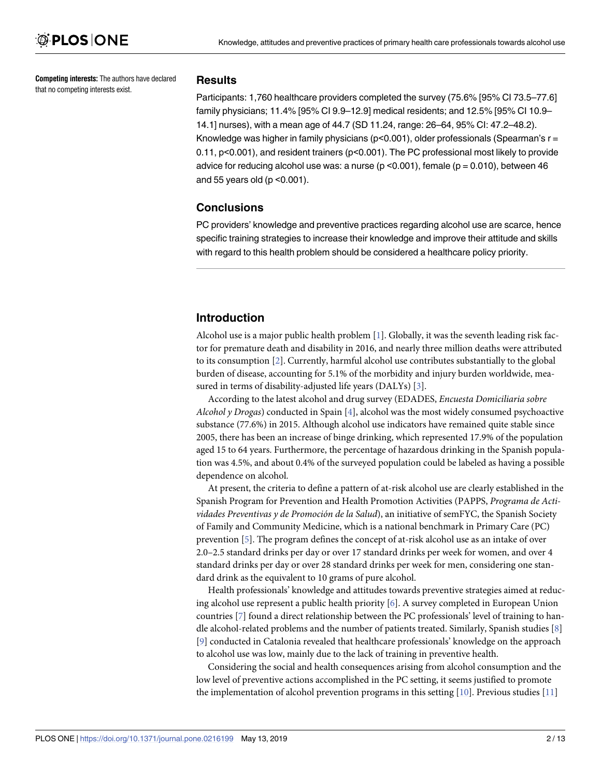<span id="page-1-0"></span>**Competing interests:** The authors have declared that no competing interests exist.

#### **Results**

Participants: 1,760 healthcare providers completed the survey (75.6% [95% CI 73.5–77.6] family physicians; 11.4% [95% CI 9.9–12.9] medical residents; and 12.5% [95% CI 10.9– 14.1] nurses), with a mean age of 44.7 (SD 11.24, range: 26–64, 95% CI: 47.2–48.2). Knowledge was higher in family physicians ( $p<0.001$ ), older professionals (Spearman's  $r =$ 0.11, p<0.001), and resident trainers (p<0.001). The PC professional most likely to provide advice for reducing alcohol use was: a nurse ( $p < 0.001$ ), female ( $p = 0.010$ ), between 46 and 55 years old ( $p$  < 0.001).

#### **Conclusions**

PC providers' knowledge and preventive practices regarding alcohol use are scarce, hence specific training strategies to increase their knowledge and improve their attitude and skills with regard to this health problem should be considered a healthcare policy priority.

#### **Introduction**

Alcohol use is a major public health problem [\[1](#page-10-0)]. Globally, it was the seventh leading risk factor for premature death and disability in 2016, and nearly three million deaths were attributed to its consumption [[2](#page-10-0)]. Currently, harmful alcohol use contributes substantially to the global burden of disease, accounting for 5.1% of the morbidity and injury burden worldwide, measured in terms of disability-adjusted life years (DALYs) [\[3](#page-10-0)].

According to the latest alcohol and drug survey (EDADES, *Encuesta Domiciliaria sobre Alcohol y Drogas*) conducted in Spain [\[4](#page-10-0)], alcohol was the most widely consumed psychoactive substance (77.6%) in 2015. Although alcohol use indicators have remained quite stable since 2005, there has been an increase of binge drinking, which represented 17.9% of the population aged 15 to 64 years. Furthermore, the percentage of hazardous drinking in the Spanish population was 4.5%, and about 0.4% of the surveyed population could be labeled as having a possible dependence on alcohol.

At present, the criteria to define a pattern of at-risk alcohol use are clearly established in the Spanish Program for Prevention and Health Promotion Activities (PAPPS, *Programa de Actividades Preventivas y de Promoción de la Salud*), an initiative of semFYC, the Spanish Society of Family and Community Medicine, which is a national benchmark in Primary Care (PC) prevention [\[5\]](#page-10-0). The program defines the concept of at-risk alcohol use as an intake of over 2.0–2.5 standard drinks per day or over 17 standard drinks per week for women, and over 4 standard drinks per day or over 28 standard drinks per week for men, considering one standard drink as the equivalent to 10 grams of pure alcohol.

Health professionals' knowledge and attitudes towards preventive strategies aimed at reducing alcohol use represent a public health priority [[6](#page-10-0)]. A survey completed in European Union countries [[7\]](#page-10-0) found a direct relationship between the PC professionals' level of training to handle alcohol-related problems and the number of patients treated. Similarly, Spanish studies [\[8\]](#page-10-0) [\[9](#page-10-0)] conducted in Catalonia revealed that healthcare professionals' knowledge on the approach to alcohol use was low, mainly due to the lack of training in preventive health.

Considering the social and health consequences arising from alcohol consumption and the low level of preventive actions accomplished in the PC setting, it seems justified to promote the implementation of alcohol prevention programs in this setting  $[10]$ . Previous studies  $[11]$  $[11]$  $[11]$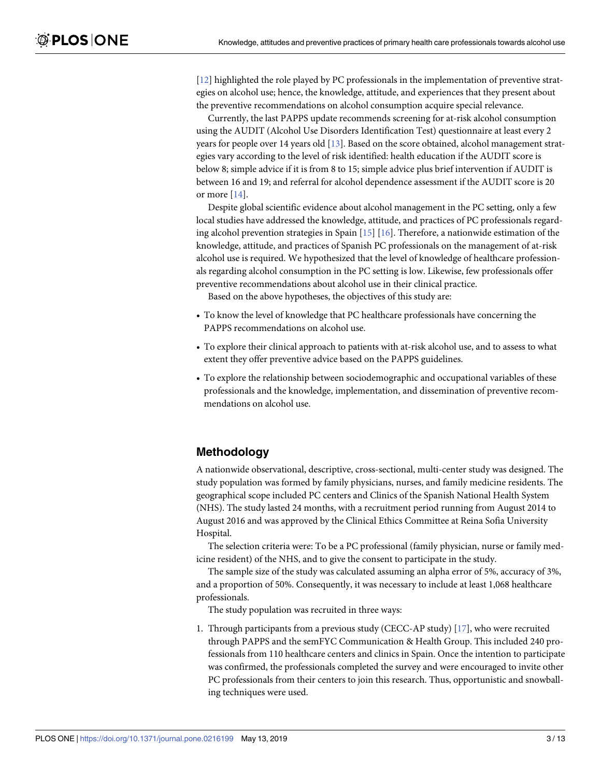<span id="page-2-0"></span>[\[12\]](#page-10-0) highlighted the role played by PC professionals in the implementation of preventive strategies on alcohol use; hence, the knowledge, attitude, and experiences that they present about the preventive recommendations on alcohol consumption acquire special relevance.

Currently, the last PAPPS update recommends screening for at-risk alcohol consumption using the AUDIT (Alcohol Use Disorders Identification Test) questionnaire at least every 2 years for people over 14 years old [\[13\]](#page-11-0). Based on the score obtained, alcohol management strategies vary according to the level of risk identified: health education if the AUDIT score is below 8; simple advice if it is from 8 to 15; simple advice plus brief intervention if AUDIT is between 16 and 19; and referral for alcohol dependence assessment if the AUDIT score is 20 or more [[14](#page-11-0)].

Despite global scientific evidence about alcohol management in the PC setting, only a few local studies have addressed the knowledge, attitude, and practices of PC professionals regarding alcohol prevention strategies in Spain [[15](#page-11-0)] [\[16\]](#page-11-0). Therefore, a nationwide estimation of the knowledge, attitude, and practices of Spanish PC professionals on the management of at-risk alcohol use is required. We hypothesized that the level of knowledge of healthcare professionals regarding alcohol consumption in the PC setting is low. Likewise, few professionals offer preventive recommendations about alcohol use in their clinical practice.

Based on the above hypotheses, the objectives of this study are:

- To know the level of knowledge that PC healthcare professionals have concerning the PAPPS recommendations on alcohol use.
- To explore their clinical approach to patients with at-risk alcohol use, and to assess to what extent they offer preventive advice based on the PAPPS guidelines.
- To explore the relationship between sociodemographic and occupational variables of these professionals and the knowledge, implementation, and dissemination of preventive recommendations on alcohol use.

#### **Methodology**

A nationwide observational, descriptive, cross-sectional, multi-center study was designed. The study population was formed by family physicians, nurses, and family medicine residents. The geographical scope included PC centers and Clinics of the Spanish National Health System (NHS). The study lasted 24 months, with a recruitment period running from August 2014 to August 2016 and was approved by the Clinical Ethics Committee at Reina Sofia University Hospital.

The selection criteria were: To be a PC professional (family physician, nurse or family medicine resident) of the NHS, and to give the consent to participate in the study.

The sample size of the study was calculated assuming an alpha error of 5%, accuracy of 3%, and a proportion of 50%. Consequently, it was necessary to include at least 1,068 healthcare professionals.

The study population was recruited in three ways:

1. Through participants from a previous study (CECC-AP study) [[17](#page-11-0)], who were recruited through PAPPS and the semFYC Communication & Health Group. This included 240 professionals from 110 healthcare centers and clinics in Spain. Once the intention to participate was confirmed, the professionals completed the survey and were encouraged to invite other PC professionals from their centers to join this research. Thus, opportunistic and snowballing techniques were used.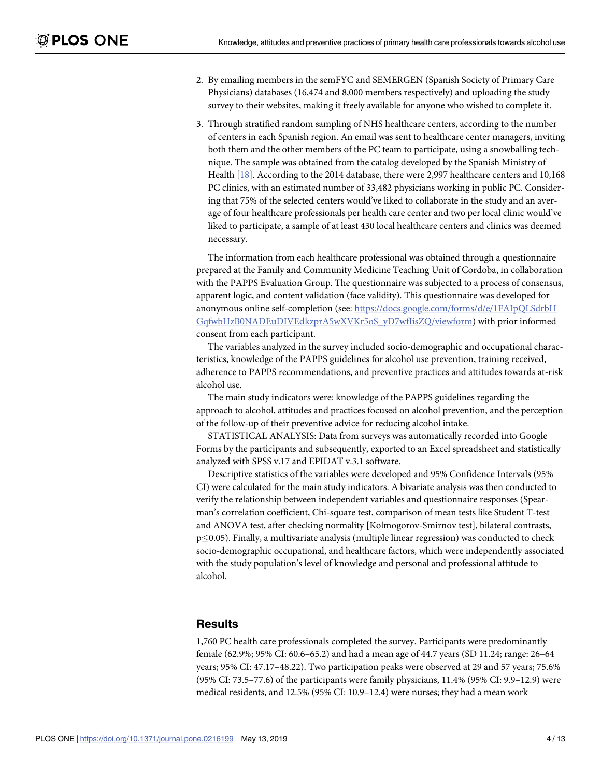- <span id="page-3-0"></span>2. By emailing members in the semFYC and SEMERGEN (Spanish Society of Primary Care Physicians) databases (16,474 and 8,000 members respectively) and uploading the study survey to their websites, making it freely available for anyone who wished to complete it.
- 3. Through stratified random sampling of NHS healthcare centers, according to the number of centers in each Spanish region. An email was sent to healthcare center managers, inviting both them and the other members of the PC team to participate, using a snowballing technique. The sample was obtained from the catalog developed by the Spanish Ministry of Health [[18](#page-11-0)]. According to the 2014 database, there were 2,997 healthcare centers and 10,168 PC clinics, with an estimated number of 33,482 physicians working in public PC. Considering that 75% of the selected centers would've liked to collaborate in the study and an average of four healthcare professionals per health care center and two per local clinic would've liked to participate, a sample of at least 430 local healthcare centers and clinics was deemed necessary.

The information from each healthcare professional was obtained through a questionnaire prepared at the Family and Community Medicine Teaching Unit of Cordoba, in collaboration with the PAPPS Evaluation Group. The questionnaire was subjected to a process of consensus, apparent logic, and content validation (face validity). This questionnaire was developed for anonymous online self-completion (see: [https://docs.google.com/forms/d/e/1FAIpQLSdrbH](https://docs.google.com/forms/d/e/1FAIpQLSdrbHGqfwbHzB0NADEuDIVEdkzprA5wXVKr5oS_yD7wfIisZQ/viewform) [GqfwbHzB0NADEuDIVEdkzprA5wXVKr5oS\\_yD7wfIisZQ/viewform](https://docs.google.com/forms/d/e/1FAIpQLSdrbHGqfwbHzB0NADEuDIVEdkzprA5wXVKr5oS_yD7wfIisZQ/viewform)) with prior informed consent from each participant.

The variables analyzed in the survey included socio-demographic and occupational characteristics, knowledge of the PAPPS guidelines for alcohol use prevention, training received, adherence to PAPPS recommendations, and preventive practices and attitudes towards at-risk alcohol use.

The main study indicators were: knowledge of the PAPPS guidelines regarding the approach to alcohol, attitudes and practices focused on alcohol prevention, and the perception of the follow-up of their preventive advice for reducing alcohol intake.

STATISTICAL ANALYSIS: Data from surveys was automatically recorded into Google Forms by the participants and subsequently, exported to an Excel spreadsheet and statistically analyzed with SPSS v.17 and EPIDAT v.3.1 software.

Descriptive statistics of the variables were developed and 95% Confidence Intervals (95% CI) were calculated for the main study indicators. A bivariate analysis was then conducted to verify the relationship between independent variables and questionnaire responses (Spearman's correlation coefficient, Chi-square test, comparison of mean tests like Student T-test and ANOVA test, after checking normality [Kolmogorov-Smirnov test], bilateral contrasts,  $p \leq 0.05$ ). Finally, a multivariate analysis (multiple linear regression) was conducted to check socio-demographic occupational, and healthcare factors, which were independently associated with the study population's level of knowledge and personal and professional attitude to alcohol.

#### **Results**

1,760 PC health care professionals completed the survey. Participants were predominantly female (62.9%; 95% CI: 60.6–65.2) and had a mean age of 44.7 years (SD 11.24; range: 26–64 years; 95% CI: 47.17–48.22). Two participation peaks were observed at 29 and 57 years; 75.6% (95% CI: 73.5–77.6) of the participants were family physicians, 11.4% (95% CI: 9.9–12.9) were medical residents, and 12.5% (95% CI: 10.9–12.4) were nurses; they had a mean work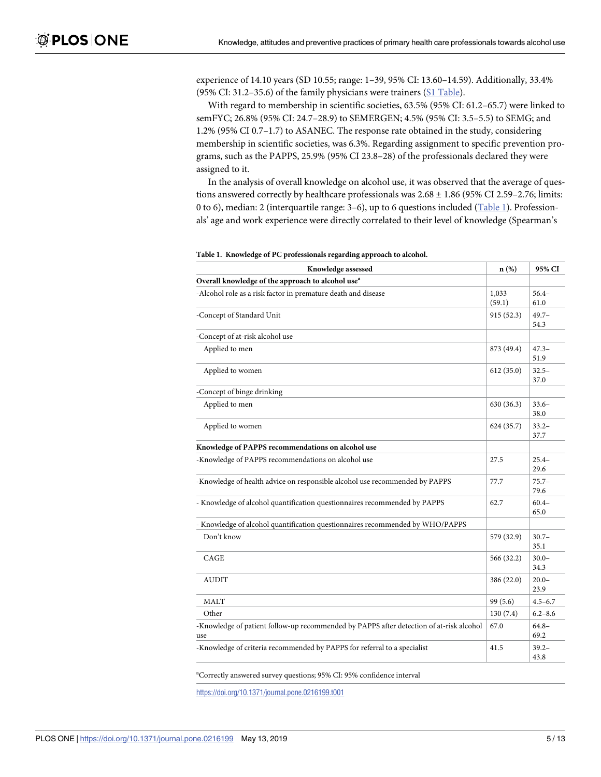<span id="page-4-0"></span>experience of 14.10 years (SD 10.55; range: 1–39, 95% CI: 13.60–14.59). Additionally, 33.4% (95% CI: 31.2–35.6) of the family physicians were trainers (S1 [Table](#page-9-0)).

With regard to membership in scientific societies, 63.5% (95% CI: 61.2–65.7) were linked to semFYC; 26.8% (95% CI: 24.7–28.9) to SEMERGEN; 4.5% (95% CI: 3.5–5.5) to SEMG; and 1.2% (95% CI 0.7–1.7) to ASANEC. The response rate obtained in the study, considering membership in scientific societies, was 6.3%. Regarding assignment to specific prevention programs, such as the PAPPS, 25.9% (95% CI 23.8–28) of the professionals declared they were assigned to it.

In the analysis of overall knowledge on alcohol use, it was observed that the average of questions answered correctly by healthcare professionals was  $2.68 \pm 1.86$  (95% CI 2.59-2.76; limits: 0 to 6), median: 2 (interquartile range: 3–6), up to 6 questions included (Table 1). Professionals' age and work experience were directly correlated to their level of knowledge (Spearman's

| Knowledge assessed                                                                             | $n$ (%)         | 95% CI           |
|------------------------------------------------------------------------------------------------|-----------------|------------------|
| Overall knowledge of the approach to alcohol use <sup>a</sup>                                  |                 |                  |
| -Alcohol role as a risk factor in premature death and disease                                  | 1,033<br>(59.1) | $56.4-$<br>61.0  |
| -Concept of Standard Unit                                                                      | 915 (52.3)      | $49.7 -$<br>54.3 |
| -Concept of at-risk alcohol use                                                                |                 |                  |
| Applied to men                                                                                 | 873 (49.4)      | $47.3 -$<br>51.9 |
| Applied to women                                                                               | 612(35.0)       | $32.5 -$<br>37.0 |
| -Concept of binge drinking                                                                     |                 |                  |
| Applied to men                                                                                 | 630 (36.3)      | $33.6 -$<br>38.0 |
| Applied to women                                                                               | 624 (35.7)      | $33.2 -$<br>37.7 |
| Knowledge of PAPPS recommendations on alcohol use                                              |                 |                  |
| -Knowledge of PAPPS recommendations on alcohol use                                             | 27.5            | $25.4 -$<br>29.6 |
| -Knowledge of health advice on responsible alcohol use recommended by PAPPS                    | 77.7            | $75.7 -$<br>79.6 |
| - Knowledge of alcohol quantification questionnaires recommended by PAPPS                      | 62.7            | $60.4 -$<br>65.0 |
| - Knowledge of alcohol quantification questionnaires recommended by WHO/PAPPS                  |                 |                  |
| Don't know                                                                                     | 579 (32.9)      | $30.7 -$<br>35.1 |
| CAGE                                                                                           | 566 (32.2)      | $30.0 -$<br>34.3 |
| AUDIT                                                                                          | 386 (22.0)      | $20.0 -$<br>23.9 |
| <b>MALT</b>                                                                                    | 99 (5.6)        | $4.5 - 6.7$      |
| Other                                                                                          | 130 (7.4)       | $6.2 - 8.6$      |
| -Knowledge of patient follow-up recommended by PAPPS after detection of at-risk alcohol<br>use | 67.0            | $64.8 -$<br>69.2 |
| -Knowledge of criteria recommended by PAPPS for referral to a specialist                       | 41.5            | $39.2 -$<br>43.8 |

**Table 1. Knowledge of PC professionals regarding approach to alcohol.**

<sup>a</sup>Correctly answered survey questions; 95% CI: 95% confidence interval

<https://doi.org/10.1371/journal.pone.0216199.t001>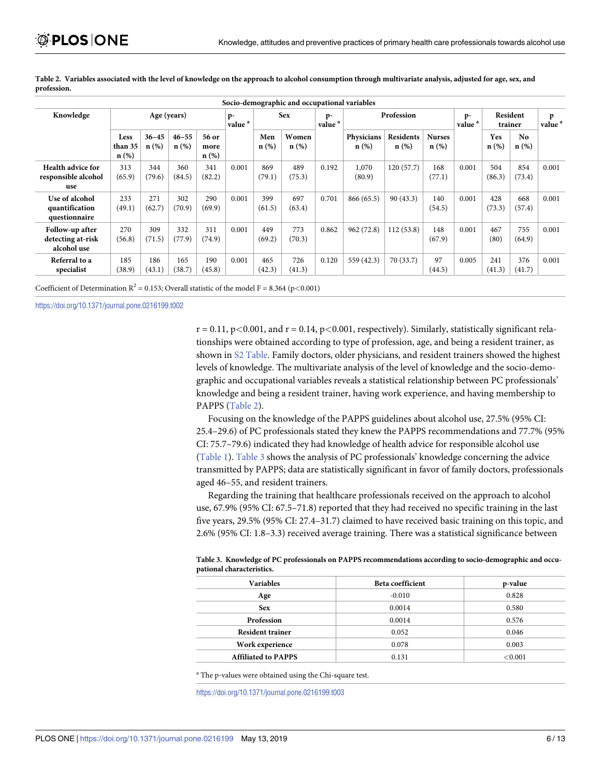| Socio-demographic and occupational variables        |                                   |                      |                   |                       |                            |                |                  |                            |                       |                   |                          |               |                     |               |                         |
|-----------------------------------------------------|-----------------------------------|----------------------|-------------------|-----------------------|----------------------------|----------------|------------------|----------------------------|-----------------------|-------------------|--------------------------|---------------|---------------------|---------------|-------------------------|
| Knowledge                                           | Age (years)                       |                      |                   |                       | $p-$<br>value $^{\rm a}$ . | <b>Sex</b>     |                  | $p-$<br>value <sup>a</sup> | Profession            |                   |                          | $p-$<br>value | Resident<br>trainer |               | p<br>value <sup>a</sup> |
|                                                     | <b>Less</b><br>than 35<br>$n(\%)$ | $36 - 45$<br>$n(\%)$ | $46 - 55$<br>n(%) | 56 or<br>more<br>n(%) |                            | Men<br>$n(\%)$ | Women<br>$n$ (%) |                            | Physicians<br>$n(\%)$ | Residents<br>n(%) | <b>Nurses</b><br>$n(\%)$ |               | Yes<br>$n(\%)$      | No.<br>n(%)   |                         |
| Health advice for<br>responsible alcohol<br>use     | 313<br>(65.9)                     | 344<br>(79.6)        | 360<br>(84.5)     | 341<br>(82.2)         | 0.001                      | 869<br>(79.1)  | 489<br>(75.3)    | 0.192                      | 1,070<br>(80.9)       | 120(57.7)         | 168<br>(77.1)            | 0.001         | 504<br>(86.3)       | 854<br>(73.4) | 0.001                   |
| Use of alcohol<br>quantification<br>questionnaire   | 233<br>(49.1)                     | 271<br>(62.7)        | 302<br>(70.9)     | 290<br>(69.9)         | 0.001                      | 399<br>(61.5)  | 697<br>(63.4)    | 0.701                      | 866 (65.5)            | 90(43.3)          | 140<br>(54.5)            | 0.001         | 428<br>(73.3)       | 668<br>(57.4) | 0.001                   |
| Follow-up after<br>detecting at-risk<br>alcohol use | 270<br>(56.8)                     | 309<br>(71.5)        | 332<br>(77.9)     | 311<br>(74.9)         | 0.001                      | 449<br>(69.2)  | 773<br>(70.3)    | 0.862                      | 962(72.8)             | 112(53.8)         | 148<br>(67.9)            | 0.001         | 467<br>(80)         | 755<br>(64.9) | 0.001                   |
| Referral to a<br>specialist                         | 185<br>(38.9)                     | 186<br>(43.1)        | 165<br>(38.7)     | 190<br>(45.8)         | 0.001                      | 465<br>(42.3)  | 726<br>(41.3)    | 0.120                      | 559 (42.3)            | 70 (33.7)         | 97<br>(44.5)             | 0.005         | 241<br>(41.3)       | 376<br>(41.7) | 0.001                   |

Table 2. Variables associated with the level of knowledge on the approach to alcohol consumption through multivariate analysis, adjusted for age, sex, and **profession.**

Coefficient of Determination  $R^2 = 0.153$ ; Overall statistic of the model  $F = 8.364$  ( $p < 0.001$ )

<https://doi.org/10.1371/journal.pone.0216199.t002>

 $r = 0.11$ ,  $p < 0.001$ , and  $r = 0.14$ ,  $p < 0.001$ , respectively). Similarly, statistically significant relationships were obtained according to type of profession, age, and being a resident trainer, as shown in S2 [Table.](#page-9-0) Family doctors, older physicians, and resident trainers showed the highest levels of knowledge. The multivariate analysis of the level of knowledge and the socio-demographic and occupational variables reveals a statistical relationship between PC professionals' knowledge and being a resident trainer, having work experience, and having membership to PAPPS (Table 2).

Focusing on the knowledge of the PAPPS guidelines about alcohol use, 27.5% (95% CI: 25.4–29.6) of PC professionals stated they knew the PAPPS recommendations and 77.7% (95% CI: 75.7–79.6) indicated they had knowledge of health advice for responsible alcohol use [\(Table](#page-4-0) 1). Table 3 shows the analysis of PC professionals' knowledge concerning the advice transmitted by PAPPS; data are statistically significant in favor of family doctors, professionals aged 46–55, and resident trainers.

Regarding the training that healthcare professionals received on the approach to alcohol use, 67.9% (95% CI: 67.5–71.8) reported that they had received no specific training in the last five years, 29.5% (95% CI: 27.4–31.7) claimed to have received basic training on this topic, and 2.6% (95% CI: 1.8–3.3) received average training. There was a statistical significance between

**Table 3. Knowledge of PC professionals on PAPPS recommendations according to socio-demographic and occupational characteristics.**

| <b>Variables</b>           | <b>Beta coefficient</b> | p-value    |
|----------------------------|-------------------------|------------|
| Age                        | $-0.010$                | 0.828      |
| <b>Sex</b>                 | 0.0014                  | 0.580      |
| <b>Profession</b>          | 0.0014                  | 0.576      |
| <b>Resident trainer</b>    | 0.052                   | 0.046      |
| Work experience            | 0.078                   | 0.003      |
| <b>Affiliated to PAPPS</b> | 0.131                   | ${<}0.001$ |

<sup>a</sup> The p-values were obtained using the Chi-square test.

<https://doi.org/10.1371/journal.pone.0216199.t003>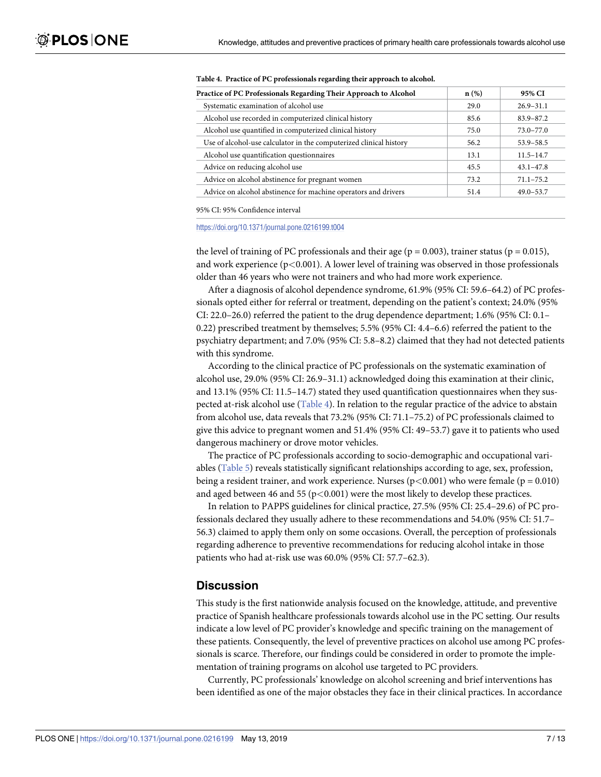| Practice of PC Professionals Regarding Their Approach to Alcohol   | n(%) | 95% CI        |
|--------------------------------------------------------------------|------|---------------|
| Systematic examination of alcohol use                              | 29.0 | $26.9 - 31.1$ |
| Alcohol use recorded in computerized clinical history              | 85.6 | $83.9 - 87.2$ |
| Alcohol use quantified in computerized clinical history            | 75.0 | $73.0 - 77.0$ |
| Use of alcohol-use calculator in the computerized clinical history | 56.2 | $53.9 - 58.5$ |
| Alcohol use quantification questionnaires                          | 13.1 | $11.5 - 14.7$ |
| Advice on reducing alcohol use                                     | 45.5 | $43.1 - 47.8$ |
| Advice on alcohol abstinence for pregnant women                    | 73.2 | $71.1 - 75.2$ |
| Advice on alcohol abstinence for machine operators and drivers     | 51.4 | $49.0 - 53.7$ |

#### <span id="page-6-0"></span>**Table 4. Practice of PC professionals regarding their approach to alcohol.**

95% CI: 95% Confidence interval

<https://doi.org/10.1371/journal.pone.0216199.t004>

the level of training of PC professionals and their age ( $p = 0.003$ ), trainer status ( $p = 0.015$ ), and work experience (p*<*0.001). A lower level of training was observed in those professionals older than 46 years who were not trainers and who had more work experience.

After a diagnosis of alcohol dependence syndrome, 61.9% (95% CI: 59.6–64.2) of PC professionals opted either for referral or treatment, depending on the patient's context; 24.0% (95% CI: 22.0–26.0) referred the patient to the drug dependence department; 1.6% (95% CI: 0.1– 0.22) prescribed treatment by themselves; 5.5% (95% CI: 4.4–6.6) referred the patient to the psychiatry department; and 7.0% (95% CI: 5.8–8.2) claimed that they had not detected patients with this syndrome.

According to the clinical practice of PC professionals on the systematic examination of alcohol use, 29.0% (95% CI: 26.9–31.1) acknowledged doing this examination at their clinic, and 13.1% (95% CI: 11.5–14.7) stated they used quantification questionnaires when they suspected at-risk alcohol use (Table 4). In relation to the regular practice of the advice to abstain from alcohol use, data reveals that 73.2% (95% CI: 71.1–75.2) of PC professionals claimed to give this advice to pregnant women and 51.4% (95% CI: 49–53.7) gave it to patients who used dangerous machinery or drove motor vehicles.

The practice of PC professionals according to socio-demographic and occupational variables [\(Table](#page-7-0) 5) reveals statistically significant relationships according to age, sex, profession, being a resident trainer, and work experience. Nurses (p*<*0.001) who were female (p = 0.010) and aged between 46 and 55 (p*<*0.001) were the most likely to develop these practices.

In relation to PAPPS guidelines for clinical practice, 27.5% (95% CI: 25.4–29.6) of PC professionals declared they usually adhere to these recommendations and 54.0% (95% CI: 51.7– 56.3) claimed to apply them only on some occasions. Overall, the perception of professionals regarding adherence to preventive recommendations for reducing alcohol intake in those patients who had at-risk use was 60.0% (95% CI: 57.7–62.3).

#### **Discussion**

This study is the first nationwide analysis focused on the knowledge, attitude, and preventive practice of Spanish healthcare professionals towards alcohol use in the PC setting. Our results indicate a low level of PC provider's knowledge and specific training on the management of these patients. Consequently, the level of preventive practices on alcohol use among PC professionals is scarce. Therefore, our findings could be considered in order to promote the implementation of training programs on alcohol use targeted to PC providers.

Currently, PC professionals' knowledge on alcohol screening and brief interventions has been identified as one of the major obstacles they face in their clinical practices. In accordance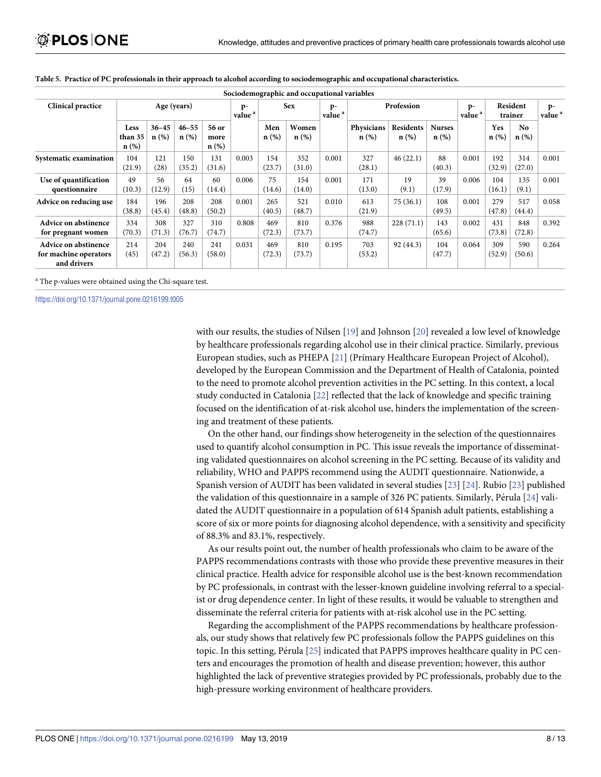|                                                                     |                            |                      |                   |                       |                            |               | Sociodemographic and occupational variables |                            |                       |                             |                          |                            |                     |                |                            |
|---------------------------------------------------------------------|----------------------------|----------------------|-------------------|-----------------------|----------------------------|---------------|---------------------------------------------|----------------------------|-----------------------|-----------------------------|--------------------------|----------------------------|---------------------|----------------|----------------------------|
| <b>Clinical practice</b>                                            | Age (years)                |                      |                   |                       | $p-$<br>value <sup>a</sup> | <b>Sex</b>    |                                             | $p-$<br>value <sup>a</sup> | Profession            |                             |                          | $p-$<br>value <sup>a</sup> | Resident<br>trainer |                | $p-$<br>value <sup>a</sup> |
|                                                                     | Less<br>than 35<br>$n(\%)$ | $36 - 45$<br>$n(\%)$ | $46 - 55$<br>n(%) | 56 or<br>more<br>n(%) |                            | Men<br>n(%)   | Women<br>n(%)                               |                            | Physicians<br>$n(\%)$ | <b>Residents</b><br>$n(\%)$ | <b>Nurses</b><br>$n$ (%) |                            | Yes<br>$n(\%)$      | No.<br>$n(\%)$ |                            |
| Systematic examination                                              | 104<br>(21.9)              | 121<br>(28)          | 150<br>(35.2)     | 131<br>(31.6)         | 0.003                      | 154<br>(23.7) | 352<br>(31.0)                               | 0.001                      | 327<br>(28.1)         | 46(22.1)                    | 88<br>(40.3)             | 0.001                      | 192<br>(32.9)       | 314<br>(27.0)  | 0.001                      |
| Use of quantification<br>questionnaire                              | 49<br>(10.3)               | 56<br>(12.9)         | 64<br>(15)        | 60<br>(14.4)          | 0.006                      | 75<br>(14.6)  | 154<br>(14.0)                               | 0.001                      | 171<br>(13.0)         | 19<br>(9.1)                 | 39<br>(17.9)             | 0.006                      | 104<br>(16.1)       | 135<br>(9.1)   | 0.001                      |
| Advice on reducing use                                              | 184<br>(38.8)              | 196<br>(45.4)        | 208<br>(48.8)     | 208<br>(50.2)         | 0.001                      | 265<br>(40.5) | 521<br>(48.7)                               | 0.010                      | 613<br>(21.9)         | 75(36.1)                    | 108<br>(49.5)            | 0.001                      | 279<br>(47.8)       | 517<br>(44.4)  | 0.058                      |
| Advice on abstinence<br>for pregnant women                          | 334<br>(70.3)              | 308<br>(71.3)        | 327<br>(76.7)     | 310<br>(74.7)         | 0.808                      | 469<br>(72.3) | 810<br>(73.7)                               | 0.376                      | 988<br>(74.7)         | 228(71.1)                   | 143<br>(65.6)            | 0.002                      | 431<br>(73.8)       | 848<br>(72.8)  | 0.392                      |
| <b>Advice on abstinence</b><br>for machine operators<br>and drivers | 214<br>(45)                | 204<br>(47.2)        | 240<br>(56.3)     | 241<br>(58.0)         | 0.031                      | 469<br>(72.3) | 810<br>(73.7)                               | 0.195                      | 703<br>(53.2)         | 92 (44.3)                   | 104<br>(47.7)            | 0.064                      | 309<br>(52.9)       | 590<br>(50.6)  | 0.264                      |

<span id="page-7-0"></span>

|  |  |  | Table 5. Practice of PC professionals in their approach to alcohol according to sociodemographic and occupational characteristics. |  |
|--|--|--|------------------------------------------------------------------------------------------------------------------------------------|--|
|  |  |  |                                                                                                                                    |  |

<sup>a</sup> The p-values were obtained using the Chi-square test.

<https://doi.org/10.1371/journal.pone.0216199.t005>

with our results, the studies of Nilsen [[19](#page-11-0)] and Johnson [\[20\]](#page-11-0) revealed a low level of knowledge by healthcare professionals regarding alcohol use in their clinical practice. Similarly, previous European studies, such as PHEPA [\[21\]](#page-11-0) (Primary Healthcare European Project of Alcohol), developed by the European Commission and the Department of Health of Catalonia, pointed to the need to promote alcohol prevention activities in the PC setting. In this context, a local study conducted in Catalonia [\[22\]](#page-11-0) reflected that the lack of knowledge and specific training focused on the identification of at-risk alcohol use, hinders the implementation of the screening and treatment of these patients.

On the other hand, our findings show heterogeneity in the selection of the questionnaires used to quantify alcohol consumption in PC. This issue reveals the importance of disseminating validated questionnaires on alcohol screening in the PC setting. Because of its validity and reliability, WHO and PAPPS recommend using the AUDIT questionnaire. Nationwide, a Spanish version of AUDIT has been validated in several studies [\[23\]](#page-11-0) [[24](#page-11-0)]. Rubio [[23](#page-11-0)] published the validation of this questionnaire in a sample of 326 PC patients. Similarly, Pérula  $[24]$  validated the AUDIT questionnaire in a population of 614 Spanish adult patients, establishing a score of six or more points for diagnosing alcohol dependence, with a sensitivity and specificity of 88.3% and 83.1%, respectively.

As our results point out, the number of health professionals who claim to be aware of the PAPPS recommendations contrasts with those who provide these preventive measures in their clinical practice. Health advice for responsible alcohol use is the best-known recommendation by PC professionals, in contrast with the lesser-known guideline involving referral to a specialist or drug dependence center. In light of these results, it would be valuable to strengthen and disseminate the referral criteria for patients with at-risk alcohol use in the PC setting.

Regarding the accomplishment of the PAPPS recommendations by healthcare professionals, our study shows that relatively few PC professionals follow the PAPPS guidelines on this topic. In this setting, Pérula [[25](#page-11-0)] indicated that PAPPS improves healthcare quality in PC centers and encourages the promotion of health and disease prevention; however, this author highlighted the lack of preventive strategies provided by PC professionals, probably due to the high-pressure working environment of healthcare providers.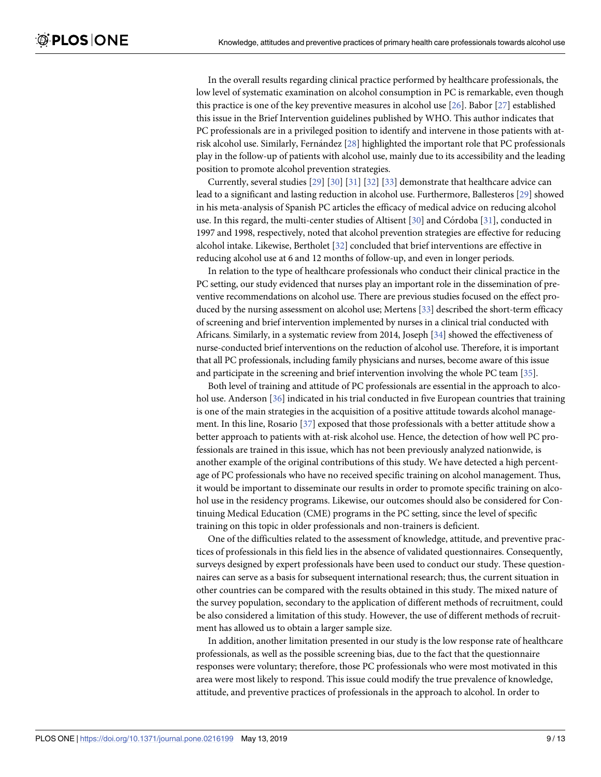<span id="page-8-0"></span>In the overall results regarding clinical practice performed by healthcare professionals, the low level of systematic examination on alcohol consumption in PC is remarkable, even though this practice is one of the key preventive measures in alcohol use [\[26\]](#page-11-0). Babor [\[27\]](#page-11-0) established this issue in the Brief Intervention guidelines published by WHO. This author indicates that PC professionals are in a privileged position to identify and intervene in those patients with atrisk alcohol use. Similarly, Fernández  $[28]$  $[28]$  $[28]$  highlighted the important role that PC professionals play in the follow-up of patients with alcohol use, mainly due to its accessibility and the leading position to promote alcohol prevention strategies.

Currently, several studies [\[29\]](#page-11-0) [[30](#page-11-0)] [\[31\]](#page-11-0) [[32](#page-11-0)] [\[33\]](#page-12-0) demonstrate that healthcare advice can lead to a significant and lasting reduction in alcohol use. Furthermore, Ballesteros [\[29\]](#page-11-0) showed in his meta-analysis of Spanish PC articles the efficacy of medical advice on reducing alcohol use. In this regard, the multi-center studies of Altisent  $[30]$  $[30]$  $[30]$  and Córdoba  $[31]$  $[31]$  $[31]$ , conducted in 1997 and 1998, respectively, noted that alcohol prevention strategies are effective for reducing alcohol intake. Likewise, Bertholet [[32](#page-11-0)] concluded that brief interventions are effective in reducing alcohol use at 6 and 12 months of follow-up, and even in longer periods.

In relation to the type of healthcare professionals who conduct their clinical practice in the PC setting, our study evidenced that nurses play an important role in the dissemination of preventive recommendations on alcohol use. There are previous studies focused on the effect produced by the nursing assessment on alcohol use; Mertens [[33\]](#page-12-0) described the short-term efficacy of screening and brief intervention implemented by nurses in a clinical trial conducted with Africans. Similarly, in a systematic review from 2014, Joseph [\[34](#page-12-0)] showed the effectiveness of nurse-conducted brief interventions on the reduction of alcohol use. Therefore, it is important that all PC professionals, including family physicians and nurses, become aware of this issue and participate in the screening and brief intervention involving the whole PC team [\[35\]](#page-12-0).

Both level of training and attitude of PC professionals are essential in the approach to alco-hol use. Anderson [[36](#page-12-0)] indicated in his trial conducted in five European countries that training is one of the main strategies in the acquisition of a positive attitude towards alcohol management. In this line, Rosario [[37](#page-12-0)] exposed that those professionals with a better attitude show a better approach to patients with at-risk alcohol use. Hence, the detection of how well PC professionals are trained in this issue, which has not been previously analyzed nationwide, is another example of the original contributions of this study. We have detected a high percentage of PC professionals who have no received specific training on alcohol management. Thus, it would be important to disseminate our results in order to promote specific training on alcohol use in the residency programs. Likewise, our outcomes should also be considered for Continuing Medical Education (CME) programs in the PC setting, since the level of specific training on this topic in older professionals and non-trainers is deficient.

One of the difficulties related to the assessment of knowledge, attitude, and preventive practices of professionals in this field lies in the absence of validated questionnaires. Consequently, surveys designed by expert professionals have been used to conduct our study. These questionnaires can serve as a basis for subsequent international research; thus, the current situation in other countries can be compared with the results obtained in this study. The mixed nature of the survey population, secondary to the application of different methods of recruitment, could be also considered a limitation of this study. However, the use of different methods of recruitment has allowed us to obtain a larger sample size.

In addition, another limitation presented in our study is the low response rate of healthcare professionals, as well as the possible screening bias, due to the fact that the questionnaire responses were voluntary; therefore, those PC professionals who were most motivated in this area were most likely to respond. This issue could modify the true prevalence of knowledge, attitude, and preventive practices of professionals in the approach to alcohol. In order to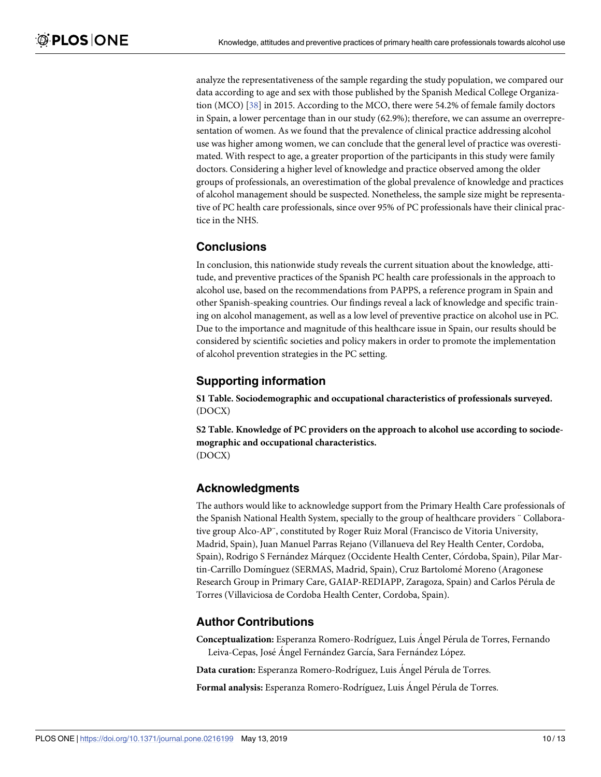<span id="page-9-0"></span>analyze the representativeness of the sample regarding the study population, we compared our data according to age and sex with those published by the Spanish Medical College Organization (MCO) [[38](#page-12-0)] in 2015. According to the MCO, there were 54.2% of female family doctors in Spain, a lower percentage than in our study (62.9%); therefore, we can assume an overrepresentation of women. As we found that the prevalence of clinical practice addressing alcohol use was higher among women, we can conclude that the general level of practice was overestimated. With respect to age, a greater proportion of the participants in this study were family doctors. Considering a higher level of knowledge and practice observed among the older groups of professionals, an overestimation of the global prevalence of knowledge and practices of alcohol management should be suspected. Nonetheless, the sample size might be representative of PC health care professionals, since over 95% of PC professionals have their clinical practice in the NHS.

## **Conclusions**

In conclusion, this nationwide study reveals the current situation about the knowledge, attitude, and preventive practices of the Spanish PC health care professionals in the approach to alcohol use, based on the recommendations from PAPPS, a reference program in Spain and other Spanish-speaking countries. Our findings reveal a lack of knowledge and specific training on alcohol management, as well as a low level of preventive practice on alcohol use in PC. Due to the importance and magnitude of this healthcare issue in Spain, our results should be considered by scientific societies and policy makers in order to promote the implementation of alcohol prevention strategies in the PC setting.

## **Supporting information**

**S1 [Table.](http://www.plosone.org/article/fetchSingleRepresentation.action?uri=info:doi/10.1371/journal.pone.0216199.s001) Sociodemographic and occupational characteristics of professionals surveyed.** (DOCX)

**S2 [Table.](http://www.plosone.org/article/fetchSingleRepresentation.action?uri=info:doi/10.1371/journal.pone.0216199.s002) Knowledge of PC providers on the approach to alcohol use according to sociodemographic and occupational characteristics.** (DOCX)

#### **Acknowledgments**

The authors would like to acknowledge support from the Primary Health Care professionals of the Spanish National Health System, specially to the group of healthcare providers ¨ Collaborative group Alco-AP¨, constituted by Roger Ruiz Moral (Francisco de Vitoria University, Madrid, Spain), Juan Manuel Parras Rejano (Villanueva del Rey Health Center, Cordoba, Spain), Rodrigo S Fernández Márquez (Occidente Health Center, Córdoba, Spain), Pilar Martin-Carrillo Domínguez (SERMAS, Madrid, Spain), Cruz Bartolomé Moreno (Aragonese Research Group in Primary Care, GAIAP-REDIAPP, Zaragoza, Spain) and Carlos Pérula de Torres (Villaviciosa de Cordoba Health Center, Cordoba, Spain).

#### **Author Contributions**

**Conceptualization:** Esperanza Romero-Rodríguez, Luis Angel Pérula de Torres, Fernando Leiva-Cepas, José Ángel Fernández García, Sara Fernández López.

**Data curation:** Esperanza Romero-Rodríguez, Luis Angel Pérula de Torres.

**Formal analysis:** Esperanza Romero-Rodríguez, Luis Angel Pérula de Torres.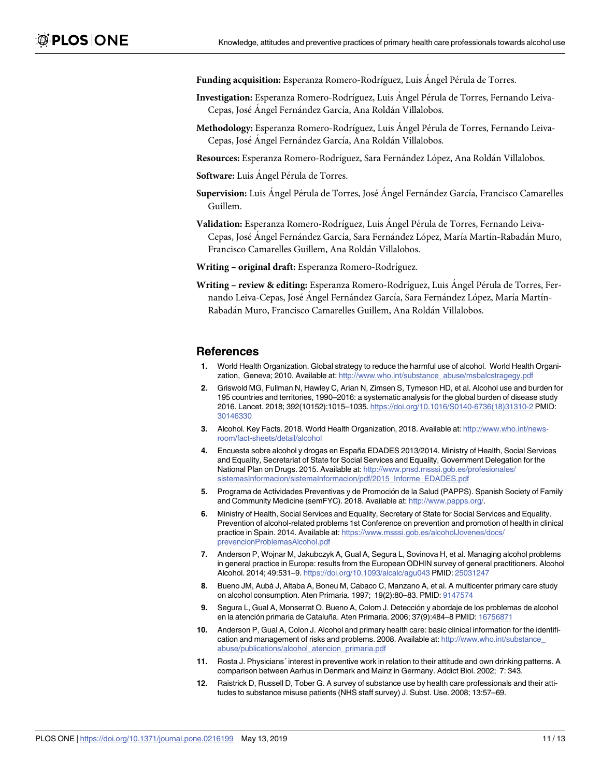<span id="page-10-0"></span>Funding acquisition: Esperanza Romero-Rodríguez, Luis Ángel Pérula de Torres.

- Investigation: Esperanza Romero-Rodríguez, Luis Ángel Pérula de Torres, Fernando Leiva-Cepas, José Angel Fernández García, Ana Roldán Villalobos.
- Methodology: Esperanza Romero-Rodríguez, Luis Ángel Pérula de Torres, Fernando Leiva-Cepas, José Ángel Fernández García, Ana Roldán Villalobos.
- Resources: Esperanza Romero-Rodríguez, Sara Fernández López, Ana Roldán Villalobos.
- **Software:** Luis Angel Pérula de Torres.
- Supervision: Luis Ángel Pérula de Torres, José Ángel Fernández García, Francisco Camarelles Guillem.
- Validation: Esperanza Romero-Rodríguez, Luis Angel Pérula de Torres, Fernando Leiva-Cepas, José Ángel Fernández García, Sara Fernández López, María Martín-Rabadán Muro, Francisco Camarelles Guillem, Ana Roldán Villalobos.
- **Writing – original draft:** Esperanza Romero-Rodrı´guez.
- **Writing review & editing**: Esperanza Romero-Rodríguez, Luis Ángel Pérula de Torres, Fernando Leiva-Cepas, José Ángel Fernández García, Sara Fernández López, María Martín-Rabadán Muro, Francisco Camarelles Guillem, Ana Roldán Villalobos.

#### **References**

- **[1](#page-1-0).** World Health Organization. Global strategy to reduce the harmful use of alcohol. World Health Organization, Geneva; 2010. Available at: [http://www.who.int/substance\\_abuse/msbalcstragegy.pdf](http://www.who.int/substance_abuse/msbalcstragegy.pdf)
- **[2](#page-1-0).** Griswold MG, Fullman N, Hawley C, Arian N, Zimsen S, Tymeson HD, et al. Alcohol use and burden for 195 countries and territories, 1990–2016: a systematic analysis for the global burden of disease study 2016. Lancet. 2018; 392(10152):1015–1035. [https://doi.org/10.1016/S0140-6736\(18\)31310-2](https://doi.org/10.1016/S0140-6736(18)31310-2) PMID: [30146330](http://www.ncbi.nlm.nih.gov/pubmed/30146330)
- **[3](#page-1-0).** Alcohol. Key Facts. 2018. World Health Organization, 2018. Available at: [http://www.who.int/news](http://www.who.int/news-room/fact-sheets/detail/alcohol)[room/fact-sheets/detail/alcohol](http://www.who.int/news-room/fact-sheets/detail/alcohol)
- **[4](#page-1-0).** Encuesta sobre alcohol y drogas en España EDADES 2013/2014. Ministry of Health, Social Services and Equality, Secretariat of State for Social Services and Equality, Government Delegation for the National Plan on Drugs. 2015. Available at: [http://www.pnsd.msssi.gob.es/profesionales/](http://www.pnsd.msssi.gob.es/profesionales/sistemasInformacion/sistemaInformacion/pdf/2015_Informe_EDADES.pdf) [sistemasInformacion/sistemaInformacion/pdf/2015\\_Informe\\_EDADES.pdf](http://www.pnsd.msssi.gob.es/profesionales/sistemasInformacion/sistemaInformacion/pdf/2015_Informe_EDADES.pdf)
- **[5](#page-1-0).** Programa de Actividades Preventivas y de Promoción de la Salud (PAPPS). Spanish Society of Family and Community Medicine (semFYC). 2018. Available at: [http://www.papps.org/.](http://www.papps.org/)
- **[6](#page-1-0).** Ministry of Health, Social Services and Equality, Secretary of State for Social Services and Equality. Prevention of alcohol-related problems 1st Conference on prevention and promotion of health in clinical practice in Spain. 2014. Available at: [https://www.msssi.gob.es/alcoholJovenes/docs/](https://www.msssi.gob.es/alcoholJovenes/docs/prevencionProblemasAlcohol.pdf) [prevencionProblemasAlcohol.pdf](https://www.msssi.gob.es/alcoholJovenes/docs/prevencionProblemasAlcohol.pdf)
- **[7](#page-1-0).** Anderson P, Wojnar M, Jakubczyk A, Gual A, Segura L, Sovinova H, et al. Managing alcohol problems in general practice in Europe: results from the European ODHIN survey of general practitioners. Alcohol Alcohol. 2014; 49:531–9. <https://doi.org/10.1093/alcalc/agu043> PMID: [25031247](http://www.ncbi.nlm.nih.gov/pubmed/25031247)
- **[8](#page-1-0).** Bueno JM, Aubà J, Altaba A, Boneu M, Cabaco C, Manzano A, et al. A multicenter primary care study on alcohol consumption. Aten Primaria. 1997; 19(2):80–83. PMID: [9147574](http://www.ncbi.nlm.nih.gov/pubmed/9147574)
- **[9](#page-1-0).** Segura L, Gual A, Monserrat O, Bueno A, Colom J. Detección y abordaje de los problemas de alcohol en la atención primaria de Cataluña. Aten Primaria. 2006; 37(9):484–8 PMID: [16756871](http://www.ncbi.nlm.nih.gov/pubmed/16756871)
- **[10](#page-1-0).** Anderson P, Gual A, Colon J. Alcohol and primary health care: basic clinical information for the identification and management of risks and problems. 2008. Available at: [http://www.who.int/substance\\_](http://www.who.int/substance_abuse/publications/alcohol_atencion_primaria.pdf) [abuse/publications/alcohol\\_atencion\\_primaria.pdf](http://www.who.int/substance_abuse/publications/alcohol_atencion_primaria.pdf)
- **[11](#page-1-0).** Rosta J. Physicians´ interest in preventive work in relation to their attitude and own drinking patterns. A comparison between Aarhus in Denmark and Mainz in Germany. Addict Biol. 2002; 7: 343.
- **[12](#page-1-0).** Raistrick D, Russell D, Tober G. A survey of substance use by health care professionals and their attitudes to substance misuse patients (NHS staff survey) J. Subst. Use. 2008; 13:57–69.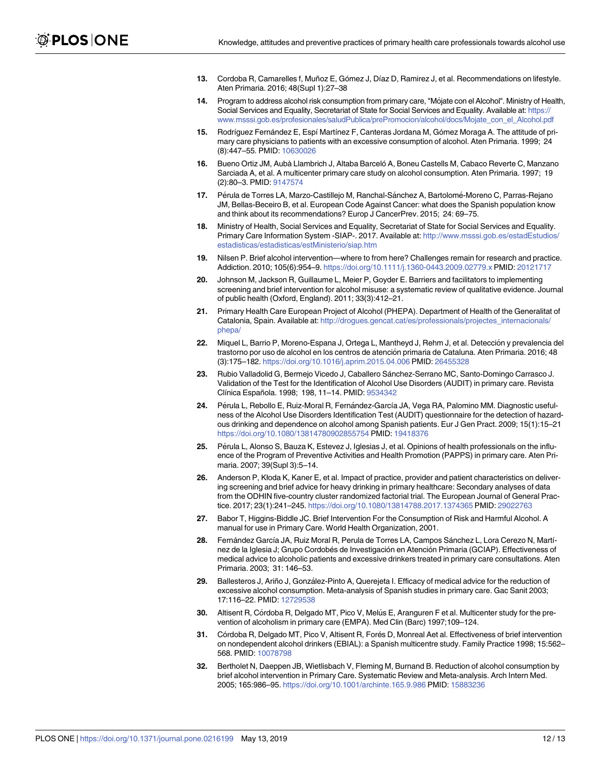- <span id="page-11-0"></span>**[13](#page-2-0).** Cordoba R, Camarelles f, Muñoz E, Gómez J, Díaz D, Ramirez J, et al. Recommendations on lifestyle. Aten Primaria. 2016; 48(Supl 1):27–38
- **[14](#page-2-0).** Program to address alcohol risk consumption from primary care, "Mo´jate con el Alcohol". Ministry of Health, Social Services and Equality, Secretariat of State for Social Services and Equality. Available at: [https://](https://www.msssi.gob.es/profesionales/saludPublica/prePromocion/alcohol/docs/Mojate_con_el_Alcohol.pdf) [www.msssi.gob.es/profesionales/saludPublica/prePromocion/alcohol/docs/Mojate\\_con\\_el\\_Alcohol.pdf](https://www.msssi.gob.es/profesionales/saludPublica/prePromocion/alcohol/docs/Mojate_con_el_Alcohol.pdf)
- **[15](#page-2-0).** Rodríguez Fernández E, Espí Martínez F, Canteras Jordana M, Gómez Moraga A. The attitude of primary care physicians to patients with an excessive consumption of alcohol. Aten Primaria. 1999; 24 (8):447–55. PMID: [10630026](http://www.ncbi.nlm.nih.gov/pubmed/10630026)
- **[16](#page-2-0).** Bueno Ortiz JM, Aubà Llambrich J, Altaba Barceló A, Boneu Castells M, Cabaco Reverte C, Manzano Sarciada A, et al. A multicenter primary care study on alcohol consumption. Aten Primaria. 1997; 19 (2):80–3. PMID: [9147574](http://www.ncbi.nlm.nih.gov/pubmed/9147574)
- **[17](#page-2-0).** Pérula de Torres LA, Marzo-Castillejo M, Ranchal-Sánchez A, Bartolomé-Moreno C, Parras-Rejano JM, Bellas-Beceiro B, et al. European Code Against Cancer: what does the Spanish population know and think about its recommendations? Europ J CancerPrev. 2015; 24: 69–75.
- **[18](#page-3-0).** Ministry of Health, Social Services and Equality, Secretariat of State for Social Services and Equality. Primary Care Information System -SIAP-. 2017. Available at: [http://www.msssi.gob.es/estadEstudios/](http://www.msssi.gob.es/estadEstudios/estadisticas/estadisticas/estMinisterio/siap.htm) [estadisticas/estadisticas/estMinisterio/siap.htm](http://www.msssi.gob.es/estadEstudios/estadisticas/estadisticas/estMinisterio/siap.htm)
- **[19](#page-7-0).** Nilsen P. Brief alcohol intervention—where to from here? Challenges remain for research and practice. Addiction. 2010; 105(6):954–9. <https://doi.org/10.1111/j.1360-0443.2009.02779.x> PMID: [20121717](http://www.ncbi.nlm.nih.gov/pubmed/20121717)
- **[20](#page-7-0).** Johnson M, Jackson R, Guillaume L, Meier P, Goyder E. Barriers and facilitators to implementing screening and brief intervention for alcohol misuse: a systematic review of qualitative evidence. Journal of public health (Oxford, England). 2011; 33(3):412–21.
- **[21](#page-7-0).** Primary Health Care European Project of Alcohol (PHEPA). Department of Health of the Generalitat of Catalonia, Spain. Available at: [http://drogues.gencat.cat/es/professionals/projectes\\_internacionals/](http://drogues.gencat.cat/es/professionals/projectes_internacionals/phepa/) [phepa/](http://drogues.gencat.cat/es/professionals/projectes_internacionals/phepa/)
- [22](#page-7-0). Miquel L, Barrio P, Moreno-Espana J, Ortega L, Mantheyd J, Rehm J, et al. Detección y prevalencia del trastorno por uso de alcohol en los centros de atención primaria de Cataluna. Aten Primaria. 2016; 48 (3):175–182. <https://doi.org/10.1016/j.aprim.2015.04.006> PMID: [26455328](http://www.ncbi.nlm.nih.gov/pubmed/26455328)
- [23](#page-7-0). Rubio Valladolid G, Bermejo Vicedo J, Caballero Sánchez-Serrano MC, Santo-Domingo Carrasco J. Validation of the Test for the Identification of Alcohol Use Disorders (AUDIT) in primary care. Revista Clínica Española. 1998; 198, 11-14. PMID: [9534342](http://www.ncbi.nlm.nih.gov/pubmed/9534342)
- [24](#page-7-0). Pérula L, Rebollo E, Ruiz-Moral R, Fernández-García JA, Vega RA, Palomino MM. Diagnostic usefulness of the Alcohol Use Disorders Identification Test (AUDIT) questionnaire for the detection of hazardous drinking and dependence on alcohol among Spanish patients. Eur J Gen Pract. 2009; 15(1):15–21 <https://doi.org/10.1080/13814780902855754> PMID: [19418376](http://www.ncbi.nlm.nih.gov/pubmed/19418376)
- **[25](#page-7-0).** Pérula L, Alonso S, Bauza K, Estevez J, Iglesias J, et al. Opinions of health professionals on the influence of the Program of Preventive Activities and Health Promotion (PAPPS) in primary care. Aten Primaria. 2007; 39(Supl 3):5–14.
- **[26](#page-8-0).** Anderson P, Kłoda K, Kaner E, et al. Impact of practice, provider and patient characteristics on delivering screening and brief advice for heavy drinking in primary healthcare: Secondary analyses of data from the ODHIN five-country cluster randomized factorial trial. The European Journal of General Practice. 2017; 23(1):241–245. <https://doi.org/10.1080/13814788.2017.1374365> PMID: [29022763](http://www.ncbi.nlm.nih.gov/pubmed/29022763)
- **[27](#page-8-0).** Babor T, Higgins-Biddle JC. Brief Intervention For the Consumption of Risk and Harmful Alcohol. A manual for use in Primary Care. World Health Organization, 2001.
- [28](#page-8-0). Fernández García JA, Ruiz Moral R, Perula de Torres LA, Campos Sánchez L, Lora Cerezo N, Martínez de la Iglesia J; Grupo Cordobés de Investigación en Atención Primaria (GCIAP). Effectiveness of medical advice to alcoholic patients and excessive drinkers treated in primary care consultations. Aten Primaria. 2003; 31: 146–53.
- [29](#page-8-0). Ballesteros J, Ariño J, González-Pinto A, Querejeta I. Efficacy of medical advice for the reduction of excessive alcohol consumption. Meta-analysis of Spanish studies in primary care. Gac Sanit 2003; 17:116–22. PMID: [12729538](http://www.ncbi.nlm.nih.gov/pubmed/12729538)
- **[30](#page-8-0).** Altisent R, Córdoba R, Delgado MT, Pico V, Melús E, Aranguren F et al. Multicenter study for the prevention of alcoholism in primary care (EMPA). Med Clin (Barc) 1997;109–124.
- **[31](#page-8-0).** Córdoba R, Delgado MT, Pico V, Altisent R, Forés D, Monreal Aet al. Effectiveness of brief intervention on nondependent alcohol drinkers (EBIAL): a Spanish multicentre study. Family Practice 1998; 15:562– 568. PMID: [10078798](http://www.ncbi.nlm.nih.gov/pubmed/10078798)
- **[32](#page-8-0).** Bertholet N, Daeppen JB, Wietlisbach V, Fleming M, Burnand B. Reduction of alcohol consumption by brief alcohol intervention in Primary Care. Systematic Review and Meta-analysis. Arch Intern Med. 2005; 165:986–95. <https://doi.org/10.1001/archinte.165.9.986> PMID: [15883236](http://www.ncbi.nlm.nih.gov/pubmed/15883236)